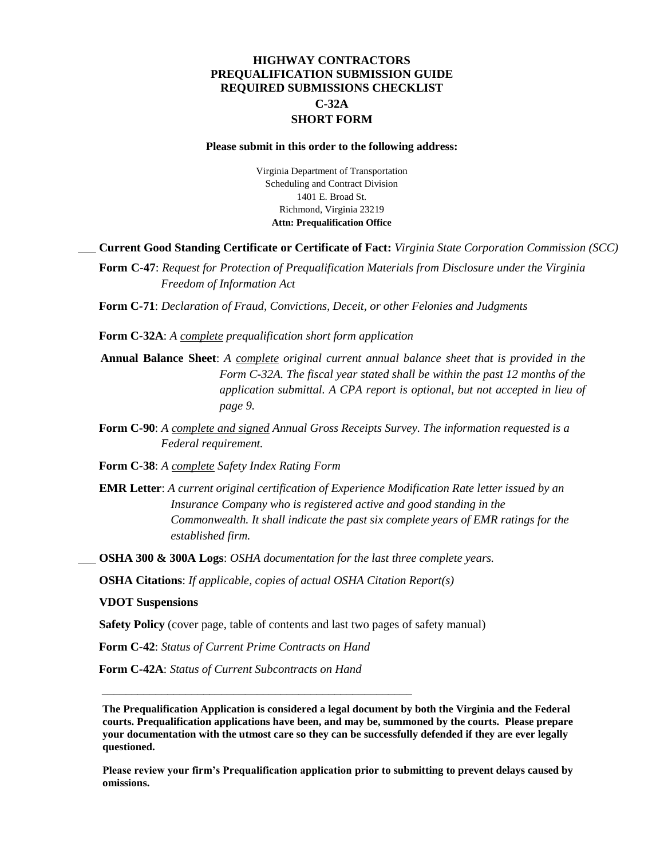## **HIGHWAY CONTRACTORS PREQUALIFICATION SUBMISSION GUIDE REQUIRED SUBMISSIONS CHECKLIST C-32A SHORT FORM**

#### **Please submit in this order to the following address:**

Virginia Department of Transportation Scheduling and Contract Division 1401 E. Broad St. Richmond, Virginia 23219 **Attn: Prequalification Office**

#### **\_\_\_ Current Good Standing Certificate or Certificate of Fact:** *Virginia State Corporation Commission (SCC)*

\_\_\_ **Form C-47**: *Request for Protection of Prequalification Materials from Disclosure under the Virginia Freedom of Information Act*

\_\_\_ **Form C-71**: *Declaration of Fraud, Convictions, Deceit, or other Felonies and Judgments*

\_\_\_ **Form C-32A**: *A complete prequalification short form application*

- \_\_\_ **Annual Balance Sheet**: *A complete original current annual balance sheet that is provided in the Form C-32A. The fiscal year stated shall be within the past 12 months of the application submittal. A CPA report is optional, but not accepted in lieu of page 9.*
- \_\_\_ **Form C-90**: *A complete and signed Annual Gross Receipts Survey. The information requested is a Federal requirement.*

**\_\_\_ Form C-38**: *A complete Safety Index Rating Form*

- \_\_\_ **EMR Letter**: *A current original certification of Experience Modification Rate letter issued by an Insurance Company who is registered active and good standing in the Commonwealth. It shall indicate the past six complete years of EMR ratings for the established firm.*
- \_\_\_ **OSHA 300 & 300A Logs**: *OSHA documentation for the last three complete years.*

\_\_\_ **OSHA Citations**: *If applicable, copies of actual OSHA Citation Report(s)*

\_\_\_ **VDOT Suspensions**

Safety Policy (cover page, table of contents and last two pages of safety manual)

\_\_\_ **Form C-42**: *Status of Current Prime Contracts on Hand*

\_\_\_\_\_\_\_\_\_\_\_\_\_\_\_\_\_\_\_\_\_\_\_\_\_\_\_\_\_\_\_\_\_\_\_\_\_\_\_\_\_\_\_\_\_\_\_\_\_\_\_\_

\_\_\_ **Form C-42A**: *Status of Current Subcontracts on Hand*

**The Prequalification Application is considered a legal document by both the Virginia and the Federal courts. Prequalification applications have been, and may be, summoned by the courts. Please prepare your documentation with the utmost care so they can be successfully defended if they are ever legally questioned.**

**Please review your firm's Prequalification application prior to submitting to prevent delays caused by omissions.**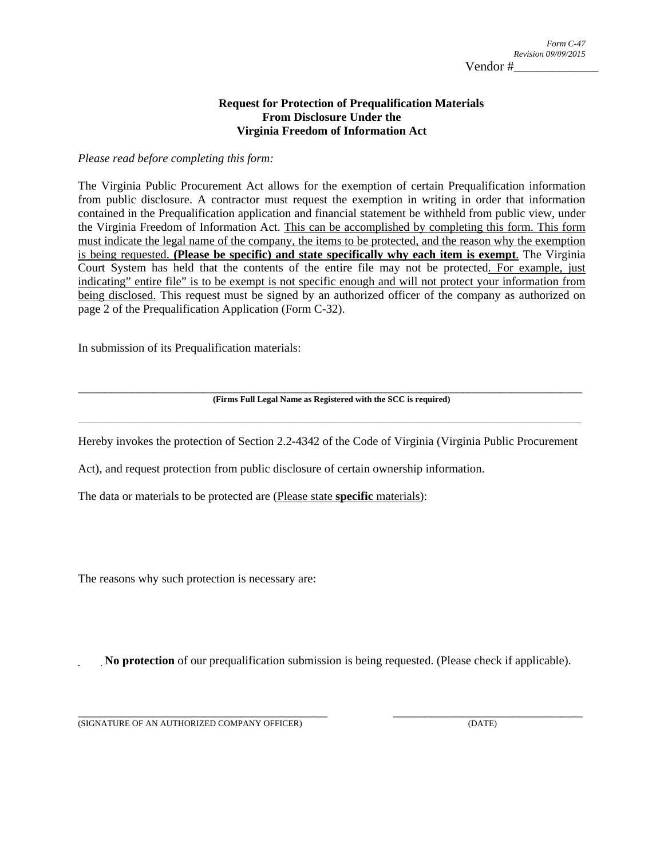### **Request for Protection of Prequalification Materials From Disclosure Under the Virginia Freedom of Information Act**

*Please read before completing this form:* 

The Virginia Public Procurement Act allows for the exemption of certain Prequalification information from public disclosure. A contractor must request the exemption in writing in order that information contained in the Prequalification application and financial statement be withheld from public view, under the Virginia Freedom of Information Act. This can be accomplished by completing this form. This form must indicate the legal name of the company, the items to be protected, and the reason why the exemption is being requested. **(Please be specific) and state specifically why each item is exempt**. The Virginia Court System has held that the contents of the entire file may not be protected. For example, just indicating" entire file" is to be exempt is not specific enough and will not protect your information from being disclosed. This request must be signed by an authorized officer of the company as authorized on page 2 of the Prequalification Application (Form C-32).

In submission of its Prequalification materials:

## \_\_\_\_\_\_\_\_\_\_\_\_\_\_\_\_\_\_\_\_\_\_\_\_\_\_\_\_\_\_\_\_\_\_\_\_\_\_\_\_\_\_\_\_\_\_\_\_\_\_\_\_\_\_\_\_\_\_\_\_\_\_\_\_\_\_\_\_\_\_\_\_\_\_\_\_\_\_\_\_\_\_\_\_\_\_\_\_\_\_\_\_\_ **(Firms Full Legal Name as Registered with the SCC is required)**  \_\_\_\_\_\_\_\_\_\_\_\_\_\_\_\_\_\_\_\_\_\_\_\_\_\_\_\_\_\_\_\_\_\_\_\_\_\_\_\_\_\_\_\_\_\_\_\_\_\_\_\_\_\_\_\_\_\_\_\_\_\_\_\_\_\_\_\_\_\_\_\_\_\_\_\_\_\_\_\_\_\_\_\_\_\_\_\_\_\_\_\_\_\_\_\_\_\_\_\_\_\_\_\_\_\_\_\_\_\_\_\_\_\_\_\_

Hereby invokes the protection of Section 2.2-4342 of the Code of Virginia (Virginia Public Procurement

Act), and request protection from public disclosure of certain ownership information.

The data or materials to be protected are (Please state **specific** materials):

The reasons why such protection is necessary are:

**\_\_\_\_ No protection** of our prequalification submission is being requested. (Please check if applicable).

\_\_\_\_\_\_\_\_\_\_\_\_\_\_\_\_\_\_\_\_\_\_\_\_\_\_\_\_\_\_\_\_\_\_\_\_\_\_\_\_\_\_\_\_\_\_ \_\_\_\_\_\_\_\_\_\_\_\_\_\_\_\_\_\_\_\_\_\_\_\_\_\_\_\_\_\_\_\_\_\_\_ (SIGNATURE OF AN AUTHORIZED COMPANY OFFICER) (DATE)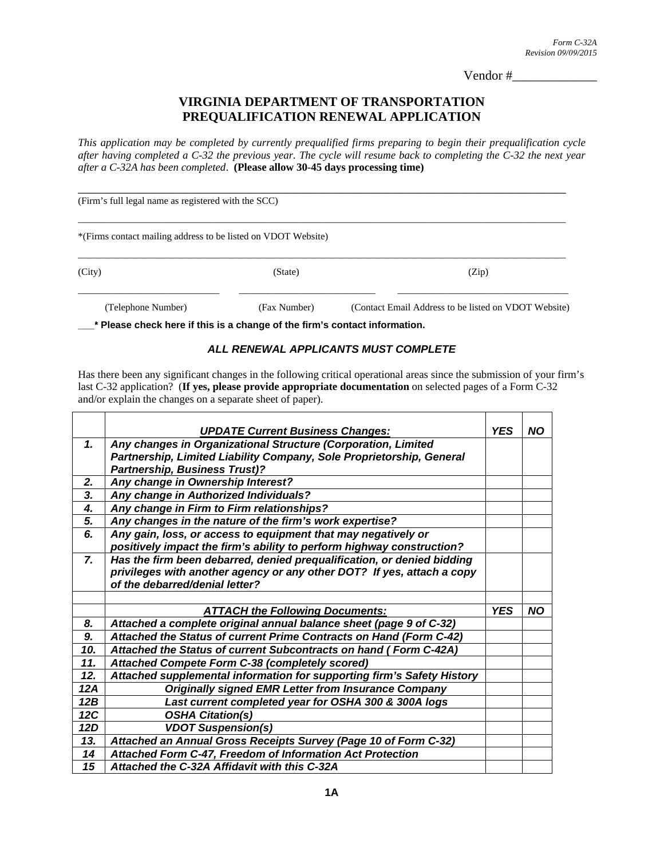Vendor #\_\_\_\_\_\_\_\_\_\_\_\_\_

# **VIRGINIA DEPARTMENT OF TRANSPORTATION PREQUALIFICATION RENEWAL APPLICATION**

*This application may be completed by currently prequalified firms preparing to begin their prequalification cycle after having completed a C-32 the previous year. The cycle will resume back to completing the C-32 the next year after a C-32A has been completed*. **(Please allow 30-45 days processing time)**

| (Firm's full legal name as registered with the SCC)           |              |                                                      |  |  |  |
|---------------------------------------------------------------|--------------|------------------------------------------------------|--|--|--|
| *(Firms contact mailing address to be listed on VDOT Website) |              |                                                      |  |  |  |
| (City)                                                        | (State)      | (Zip)                                                |  |  |  |
| (Telephone Number)                                            | (Fax Number) | (Contact Email Address to be listed on VDOT Website) |  |  |  |

**\_\_\_\* Please check here if this is a change of the firm's contact information.** 

### *ALL RENEWAL APPLICANTS MUST COMPLETE*

Has there been any significant changes in the following critical operational areas since the submission of your firm's last C-32 application? (**If yes, please provide appropriate documentation** on selected pages of a Form C-32 and/or explain the changes on a separate sheet of paper).

|                | <b>UPDATE Current Business Changes:</b>                                | <b>YES</b> | <b>NO</b> |
|----------------|------------------------------------------------------------------------|------------|-----------|
| $\mathbf{1}$   | Any changes in Organizational Structure (Corporation, Limited          |            |           |
|                | Partnership, Limited Liability Company, Sole Proprietorship, General   |            |           |
|                | <b>Partnership, Business Trust)?</b>                                   |            |           |
| 2.             | Any change in Ownership Interest?                                      |            |           |
| 3.             | Any change in Authorized Individuals?                                  |            |           |
| 4.             | Any change in Firm to Firm relationships?                              |            |           |
| 5.             | Any changes in the nature of the firm's work expertise?                |            |           |
| 6.             | Any gain, loss, or access to equipment that may negatively or          |            |           |
|                | positively impact the firm's ability to perform highway construction?  |            |           |
| $\overline{z}$ | Has the firm been debarred, denied prequalification, or denied bidding |            |           |
|                | privileges with another agency or any other DOT? If yes, attach a copy |            |           |
|                | of the debarred/denial letter?                                         |            |           |
|                |                                                                        |            |           |
|                | <b>ATTACH the Following Documents:</b>                                 | <b>YES</b> | <b>NO</b> |
| 8.             | Attached a complete original annual balance sheet (page 9 of C-32)     |            |           |
| 9.             | Attached the Status of current Prime Contracts on Hand (Form C-42)     |            |           |
| 10.            | Attached the Status of current Subcontracts on hand (Form C-42A)       |            |           |
| 11.            | Attached Compete Form C-38 (completely scored)                         |            |           |
| 12.            | Attached supplemental information for supporting firm's Safety History |            |           |
| 12A            | <b>Originally signed EMR Letter from Insurance Company</b>             |            |           |
| 12B            | Last current completed year for OSHA 300 & 300A logs                   |            |           |
| 12C            | <b>OSHA Citation(s)</b>                                                |            |           |
| 12D            | <b>VDOT Suspension(s)</b>                                              |            |           |
| 13.            | Attached an Annual Gross Receipts Survey (Page 10 of Form C-32)        |            |           |
| 14             | Attached Form C-47, Freedom of Information Act Protection              |            |           |
| 15             | Attached the C-32A Affidavit with this C-32A                           |            |           |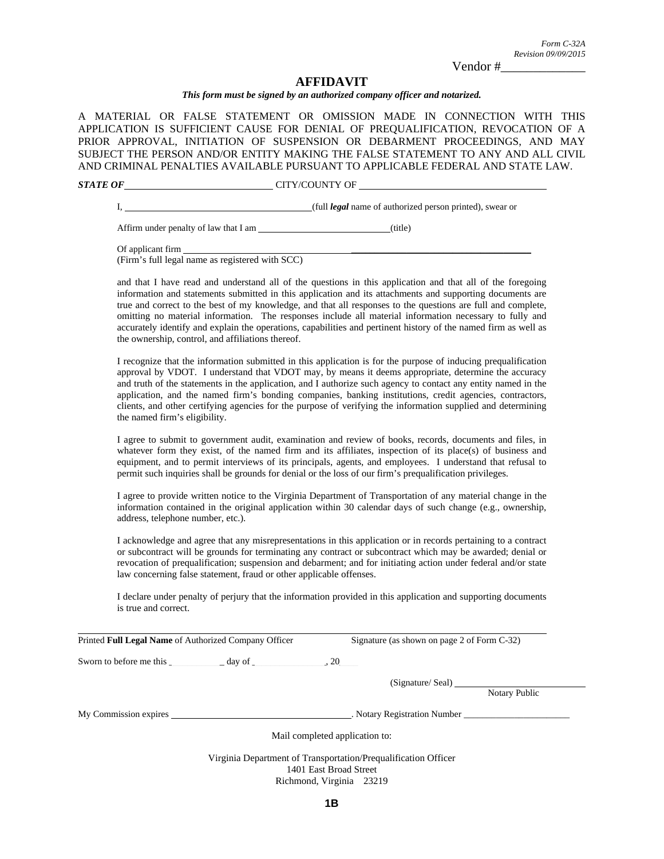*Revision 09/09/2015* 

*Form C-32A* 

Vendor #\_\_\_\_\_\_\_\_\_\_\_\_\_

#### **AFFIDAVIT**

#### *This form must be signed by an authorized company officer and notarized.*

A MATERIAL OR FALSE STATEMENT OR OMISSION MADE IN CONNECTION WITH THIS APPLICATION IS SUFFICIENT CAUSE FOR DENIAL OF PREQUALIFICATION, REVOCATION OF A PRIOR APPROVAL, INITIATION OF SUSPENSION OR DEBARMENT PROCEEDINGS, AND MAY SUBJECT THE PERSON AND/OR ENTITY MAKING THE FALSE STATEMENT TO ANY AND ALL CIVIL AND CRIMINAL PENALTIES AVAILABLE PURSUANT TO APPLICABLE FEDERAL AND STATE LAW.

**STATE OF CITY/COUNTY OF CITY/COUNTY OF** 

I, (full *legal* name of authorized person printed), swear or

Affirm under penalty of law that I am (title)

Of applicant firm (Firm's full legal name as registered with SCC)

and that I have read and understand all of the questions in this application and that all of the foregoing information and statements submitted in this application and its attachments and supporting documents are true and correct to the best of my knowledge, and that all responses to the questions are full and complete, omitting no material information. The responses include all material information necessary to fully and accurately identify and explain the operations, capabilities and pertinent history of the named firm as well as the ownership, control, and affiliations thereof.

I recognize that the information submitted in this application is for the purpose of inducing prequalification approval by VDOT. I understand that VDOT may, by means it deems appropriate, determine the accuracy and truth of the statements in the application, and I authorize such agency to contact any entity named in the application, and the named firm's bonding companies, banking institutions, credit agencies, contractors, clients, and other certifying agencies for the purpose of verifying the information supplied and determining the named firm's eligibility.

I agree to submit to government audit, examination and review of books, records, documents and files, in whatever form they exist, of the named firm and its affiliates, inspection of its place(s) of business and equipment, and to permit interviews of its principals, agents, and employees. I understand that refusal to permit such inquiries shall be grounds for denial or the loss of our firm's prequalification privileges.

I agree to provide written notice to the Virginia Department of Transportation of any material change in the information contained in the original application within 30 calendar days of such change (e.g., ownership, address, telephone number, etc.).

I acknowledge and agree that any misrepresentations in this application or in records pertaining to a contract or subcontract will be grounds for terminating any contract or subcontract which may be awarded; denial or revocation of prequalification; suspension and debarment; and for initiating action under federal and/or state law concerning false statement, fraud or other applicable offenses.

I declare under penalty of perjury that the information provided in this application and supporting documents is true and correct.

| Printed Full Legal Name of Authorized Company Officer |                          | Signature (as shown on page 2 of Form C-32) |                                                                |               |
|-------------------------------------------------------|--------------------------|---------------------------------------------|----------------------------------------------------------------|---------------|
| Sworn to before me this                               | $\equiv$ day of $\equiv$ | .20                                         |                                                                |               |
|                                                       |                          |                                             | (Signature/Seal)                                               |               |
|                                                       |                          |                                             |                                                                | Notary Public |
| My Commission expires                                 |                          |                                             | . Notary Registration Number                                   |               |
|                                                       |                          | Mail completed application to:              |                                                                |               |
|                                                       |                          |                                             | Virginia Department of Transportation/Prequalification Officer |               |
|                                                       |                          | 1401 East Broad Street                      |                                                                |               |
|                                                       |                          | Richmond, Virginia 23219                    |                                                                |               |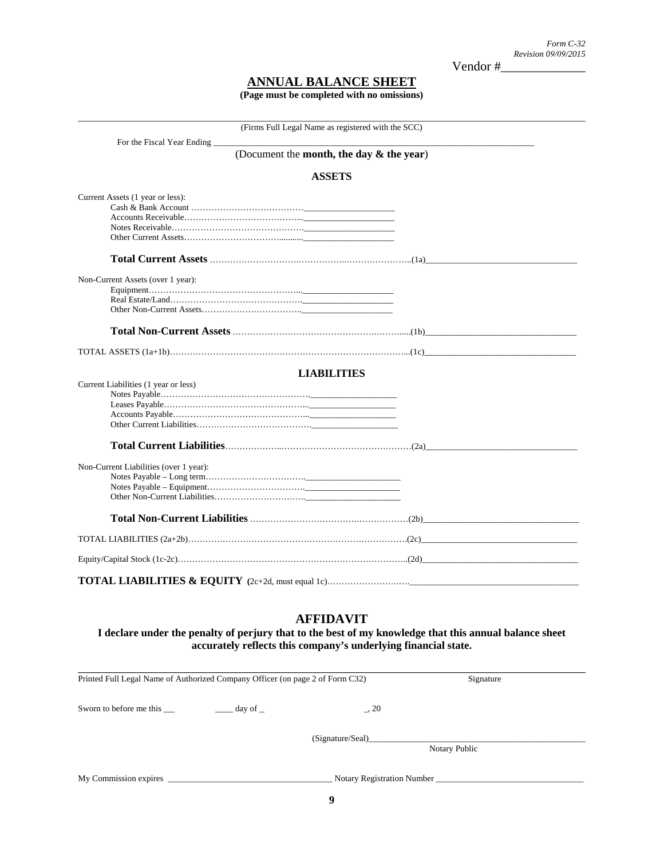Vendor #\_\_\_\_\_\_\_\_\_\_\_\_\_

*Form C-32 Revision 09/09/2015* 

# **ANNUAL BALANCE SHEET**

**(Page must be completed with no omissions)** 

| (Firms Full Legal Name as registered with the SCC) |  |
|----------------------------------------------------|--|
| For the Fiscal Year Ending                         |  |
| (Document the month, the day & the year)           |  |
| <b>ASSETS</b>                                      |  |
| Current Assets (1 year or less):                   |  |
| Non-Current Assets (over 1 year):                  |  |
|                                                    |  |
|                                                    |  |
| <b>LIABILITIES</b>                                 |  |
| Current Liabilities (1 year or less)               |  |
| Non-Current Liabilities (over 1 year):             |  |
|                                                    |  |
|                                                    |  |
|                                                    |  |
|                                                    |  |

## **AFFIDAVIT**

**I declare under the penalty of perjury that to the best of my knowledge that this annual balance sheet accurately reflects this company's underlying financial state.** 

| Printed Full Legal Name of Authorized Company Officer (on page 2 of Form C32) |                                 |                  | Signature                  |  |
|-------------------------------------------------------------------------------|---------------------------------|------------------|----------------------------|--|
|                                                                               | day of $\overline{\phantom{a}}$ | $\Box$ , 20      |                            |  |
|                                                                               |                                 | (Signature/Seal) | Notary Public              |  |
|                                                                               |                                 |                  | Notary Registration Number |  |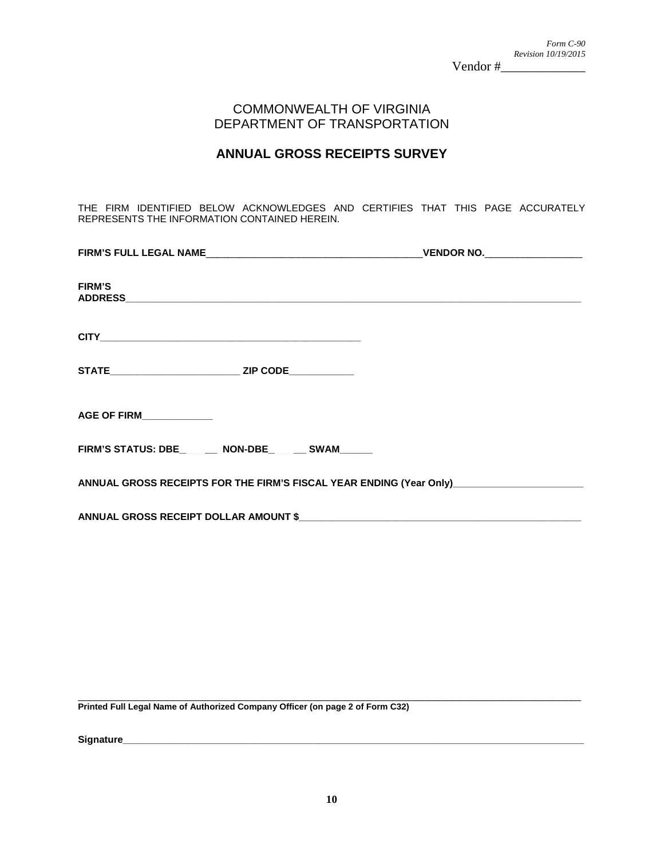# COMMONWEALTH OF VIRGINIA DEPARTMENT OF TRANSPORTATION

# **ANNUAL GROSS RECEIPTS SURVEY**

THE FIRM IDENTIFIED BELOW ACKNOWLEDGES AND CERTIFIES THAT THIS PAGE ACCURATELY REPRESENTS THE INFORMATION CONTAINED HEREIN.

| <b>FIRM'S</b>                                                                           |  |
|-----------------------------------------------------------------------------------------|--|
|                                                                                         |  |
|                                                                                         |  |
| AGE OF FIRM_____________                                                                |  |
| FIRM'S STATUS: DBE _______ NON-DBE _______ SWAM                                         |  |
| ANNUAL GROSS RECEIPTS FOR THE FIRM'S FISCAL YEAR ENDING (Year Only) ___________________ |  |
|                                                                                         |  |

**\_\_\_\_\_\_\_\_\_\_\_\_\_\_\_\_\_\_\_\_\_\_\_\_\_\_\_\_\_\_\_\_\_\_\_\_\_\_\_\_\_\_\_\_\_\_\_\_\_\_\_\_\_\_\_\_\_\_\_\_\_\_\_\_\_\_\_\_\_\_\_\_\_\_\_\_\_\_\_\_\_\_\_\_\_\_\_\_\_\_\_\_\_\_\_\_\_\_\_\_\_\_\_\_\_\_\_\_\_\_\_\_\_\_\_\_ Printed Full Legal Name of Authorized Company Officer (on page 2 of Form C32)** 

**Signature\_\_\_\_\_\_\_\_\_\_\_\_\_\_\_\_\_\_\_\_\_\_\_\_\_\_\_\_\_\_\_\_\_\_\_\_\_\_\_\_\_\_\_\_\_\_\_\_\_\_\_\_\_\_\_\_\_\_\_\_\_\_\_\_\_\_\_\_\_\_\_\_\_\_\_\_\_\_\_\_\_\_\_\_\_**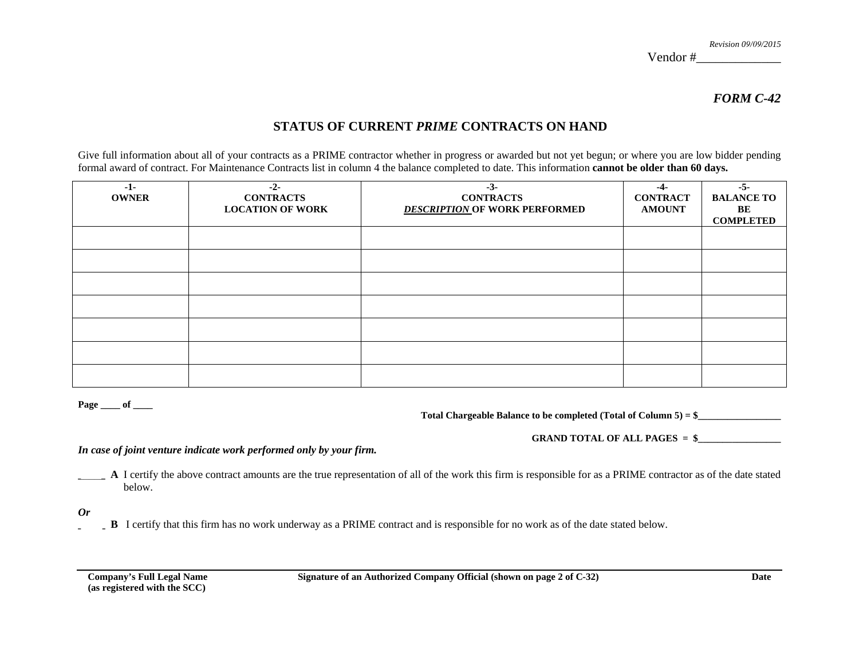*Revision 09/09/2015* 

Vendor #\_\_\_\_\_\_\_\_\_\_\_\_\_

*FORM C-42*

# **STATUS OF CURRENT** *PRIME* **CONTRACTS ON HAND**

Give full information about all of your contracts as a PRIME contractor whether in progress or awarded but not yet begun; or where you are low bidder pending formal award of contract. For Maintenance Contracts list in column 4 the balance completed to date. This information **cannot be older than 60 days.**

| $-1-$        | $-2-$                   | $-3-$                                | $-4-$           | $-5-$             |
|--------------|-------------------------|--------------------------------------|-----------------|-------------------|
| <b>OWNER</b> | <b>CONTRACTS</b>        | <b>CONTRACTS</b>                     | <b>CONTRACT</b> | <b>BALANCE TO</b> |
|              | <b>LOCATION OF WORK</b> | <b>DESCRIPTION OF WORK PERFORMED</b> | <b>AMOUNT</b>   | BE                |
|              |                         |                                      |                 | <b>COMPLETED</b>  |
|              |                         |                                      |                 |                   |
|              |                         |                                      |                 |                   |
|              |                         |                                      |                 |                   |
|              |                         |                                      |                 |                   |
|              |                         |                                      |                 |                   |
|              |                         |                                      |                 |                   |
|              |                         |                                      |                 |                   |
|              |                         |                                      |                 |                   |
|              |                         |                                      |                 |                   |
|              |                         |                                      |                 |                   |
|              |                         |                                      |                 |                   |
|              |                         |                                      |                 |                   |
|              |                         |                                      |                 |                   |
|              |                         |                                      |                 |                   |

**Page \_\_\_\_ of \_\_\_\_** 

Total Chargeable Balance to be completed (Total of Column 5) = \$\_\_\_\_\_\_\_\_\_\_\_\_\_\_\_\_\_

GRAND TOTAL OF ALL PAGES = \$

*In case of joint venture indicate work performed only by your firm.* 

**\_\_\_\_\_ A** I certify the above contract amounts are the true representation of all of the work this firm is responsible for as a PRIME contractor as of the date stated below.

*Or* 

**\_\_\_\_\_ B** I certify that this firm has no work underway as a PRIME contract and is responsible for no work as of the date stated below.